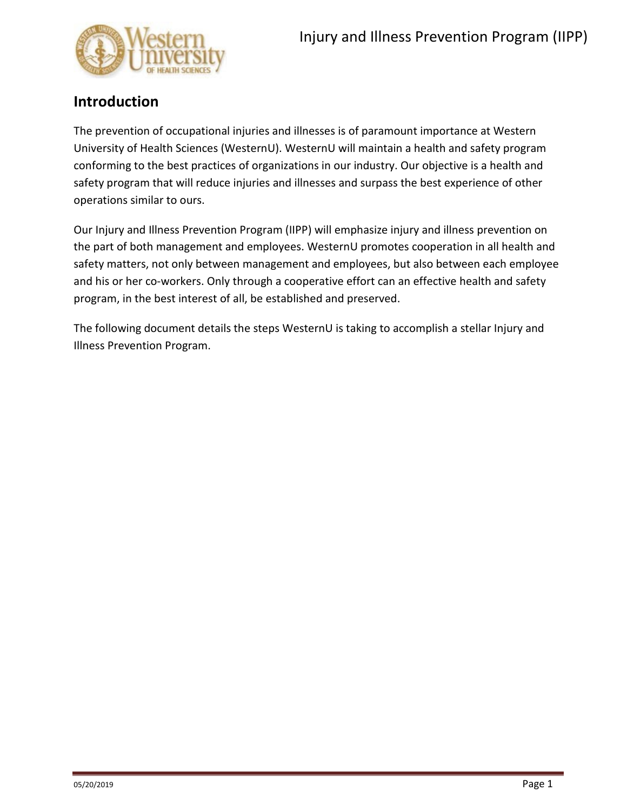

### **Introduction**

The prevention of occupational injuries and illnesses is of paramount importance at Western University of Health Sciences (WesternU). WesternU will maintain a health and safety program conforming to the best practices of organizations in our industry. Our objective is a health and safety program that will reduce injuries and illnesses and surpass the best experience of other operations similar to ours.

Our Injury and Illness Prevention Program (IIPP) will emphasize injury and illness prevention on the part of both management and employees. WesternU promotes cooperation in all health and safety matters, not only between management and employees, but also between each employee and his or her co-workers. Only through a cooperative effort can an effective health and safety program, in the best interest of all, be established and preserved.

The following document details the steps WesternU is taking to accomplish a stellar Injury and Illness Prevention Program.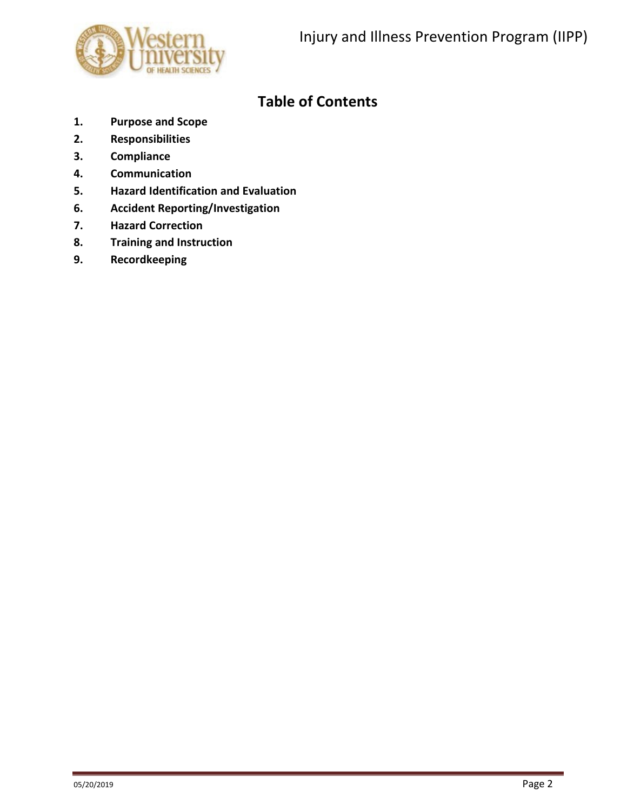

# **Table of Contents**

- **1. Purpose and Scope**
- **2. Responsibilities**
- **3. Compliance**
- **4. Communication**
- **5. Hazard Identification and Evaluation**
- **6. Accident Reporting/Investigation**
- **7. Hazard Correction**
- **8. Training and Instruction**
- **9. Recordkeeping**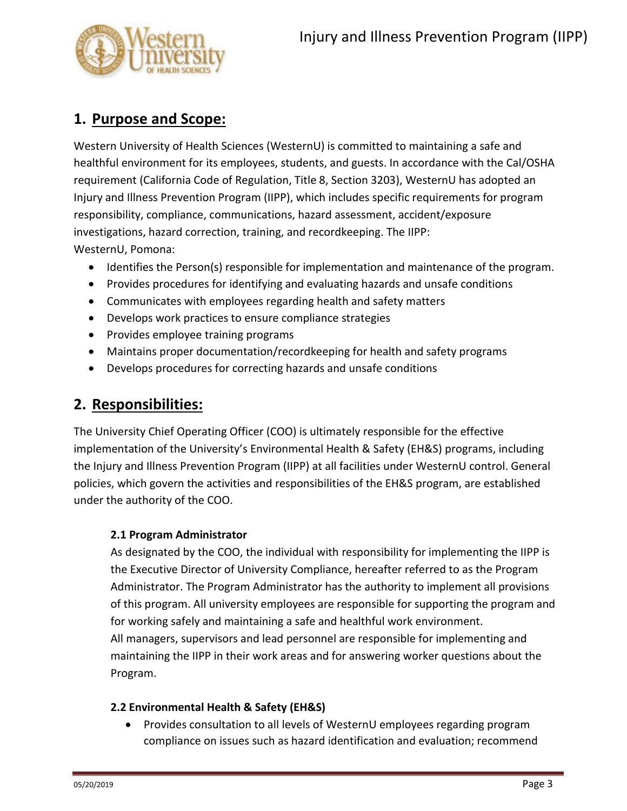

# **1. Purpose and Scope:**

Western University of Health Sciences (WesternU) is committed to maintaining a safe and healthful environment for its employees, students, and guests. In accordance with the Cal/OSHA requirement (California Code of Regulation, Title 8, Section 3203), WesternU has adopted an Injury and Illness Prevention Program (IIPP), which includes specific requirements for program responsibility, compliance, communications, hazard assessment, accident/exposure investigations, hazard correction, training, and recordkeeping. The IIPP: WesternU, Pomona:

- Identifies the Person(s) responsible for implementation and maintenance of the program.
- Provides procedures for identifying and evaluating hazards and unsafe conditions
- Communicates with employees regarding health and safety matters
- Develops work practices to ensure compliance strategies
- Provides employee training programs
- Maintains proper documentation/recordkeeping for health and safety programs
- Develops procedures for correcting hazards and unsafe conditions

## **2. Responsibilities:**

The University Chief Operating Officer (COO) is ultimately responsible for the effective implementation of the University's Environmental Health & Safety (EH&S) programs, including the Injury and Illness Prevention Program (IIPP) at all facilities under WesternU control. General policies, which govern the activities and responsibilities of the EH&S program, are established under the authority of the COO.

### **2.1 Program Administrator**

As designated by the COO, the individual with responsibility for implementing the IIPP is the Executive Director of University Compliance, hereafter referred to as the Program Administrator. The Program Administrator has the authority to implement all provisions of this program. All university employees are responsible for supporting the program and for working safely and maintaining a safe and healthful work environment. All managers, supervisors and lead personnel are responsible for implementing and maintaining the IIPP in their work areas and for answering worker questions about the Program.

### **2.2 Environmental Health & Safety (EH&S)**

• Provides consultation to all levels of WesternU employees regarding program compliance on issues such as hazard identification and evaluation; recommend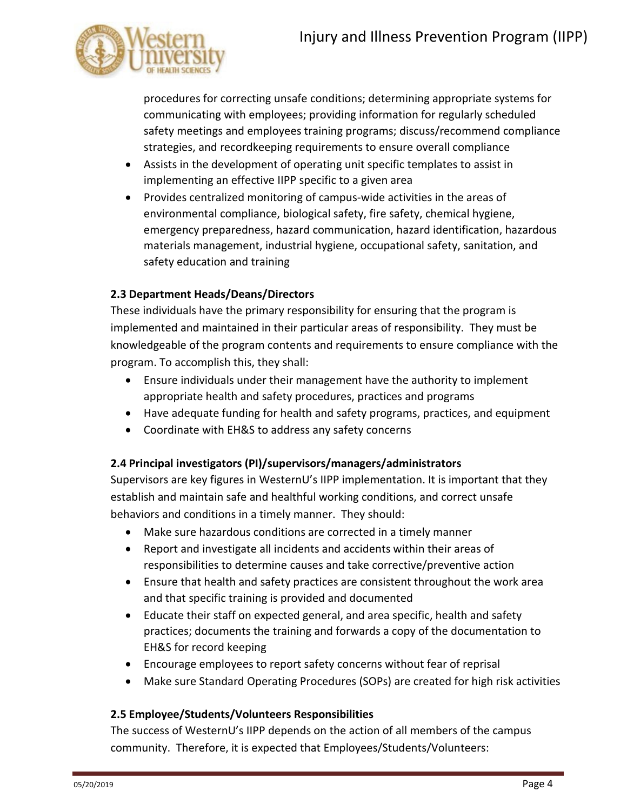

procedures for correcting unsafe conditions; determining appropriate systems for communicating with employees; providing information for regularly scheduled safety meetings and employees training programs; discuss/recommend compliance strategies, and recordkeeping requirements to ensure overall compliance

- Assists in the development of operating unit specific templates to assist in implementing an effective IIPP specific to a given area
- Provides centralized monitoring of campus-wide activities in the areas of environmental compliance, biological safety, fire safety, chemical hygiene, emergency preparedness, hazard communication, hazard identification, hazardous materials management, industrial hygiene, occupational safety, sanitation, and safety education and training

### **2.3 Department Heads/Deans/Directors**

These individuals have the primary responsibility for ensuring that the program is implemented and maintained in their particular areas of responsibility. They must be knowledgeable of the program contents and requirements to ensure compliance with the program. To accomplish this, they shall:

- Ensure individuals under their management have the authority to implement appropriate health and safety procedures, practices and programs
- Have adequate funding for health and safety programs, practices, and equipment
- Coordinate with EH&S to address any safety concerns

### **2.4 Principal investigators (PI)/supervisors/managers/administrators**

Supervisors are key figures in WesternU's IIPP implementation. It is important that they establish and maintain safe and healthful working conditions, and correct unsafe behaviors and conditions in a timely manner. They should:

- Make sure hazardous conditions are corrected in a timely manner
- Report and investigate all incidents and accidents within their areas of responsibilities to determine causes and take corrective/preventive action
- Ensure that health and safety practices are consistent throughout the work area and that specific training is provided and documented
- Educate their staff on expected general, and area specific, health and safety practices; documents the training and forwards a copy of the documentation to EH&S for record keeping
- Encourage employees to report safety concerns without fear of reprisal
- Make sure Standard Operating Procedures (SOPs) are created for high risk activities

#### **2.5 Employee/Students/Volunteers Responsibilities**

The success of WesternU's IIPP depends on the action of all members of the campus community. Therefore, it is expected that Employees/Students/Volunteers: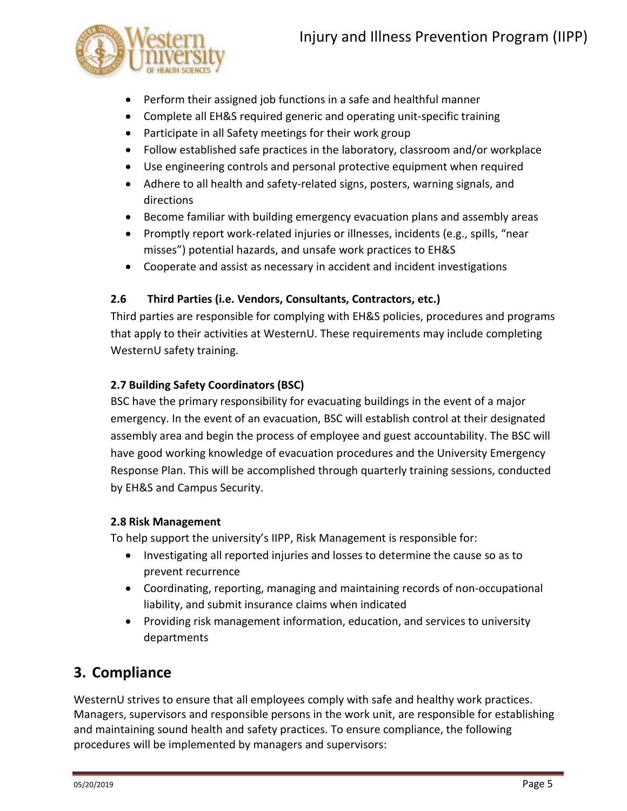

- Perform their assigned job functions in a safe and healthful manner
- Complete all EH&S required generic and operating unit-specific training
- Participate in all Safety meetings for their work group
- Follow established safe practices in the laboratory, classroom and/or workplace
- Use engineering controls and personal protective equipment when required
- Adhere to all health and safety-related signs, posters, warning signals, and directions
- Become familiar with building emergency evacuation plans and assembly areas
- Promptly report work-related injuries or illnesses, incidents (e.g., spills, "near misses") potential hazards, and unsafe work practices to EH&S
- Cooperate and assist as necessary in accident and incident investigations

### **2.6 Third Parties (i.e. Vendors, Consultants, Contractors, etc.)**

Third parties are responsible for complying with EH&S policies, procedures and programs that apply to their activities at WesternU. These requirements may include completing WesternU safety training.

### **2.7 Building Safety Coordinators (BSC)**

BSC have the primary responsibility for evacuating buildings in the event of a major emergency. In the event of an evacuation, BSC will establish control at their designated assembly area and begin the process of employee and guest accountability. The BSC will have good working knowledge of evacuation procedures and the University Emergency Response Plan. This will be accomplished through quarterly training sessions, conducted by EH&S and Campus Security.

#### **2.8 Risk Management**

To help support the university's IIPP, Risk Management is responsible for:

- Investigating all reported injuries and losses to determine the cause so as to prevent recurrence
- Coordinating, reporting, managing and maintaining records of non-occupational liability, and submit insurance claims when indicated
- Providing risk management information, education, and services to university departments

# **3. Compliance**

WesternU strives to ensure that all employees comply with safe and healthy work practices. Managers, supervisors and responsible persons in the work unit, are responsible for establishing and maintaining sound health and safety practices. To ensure compliance, the following procedures will be implemented by managers and supervisors: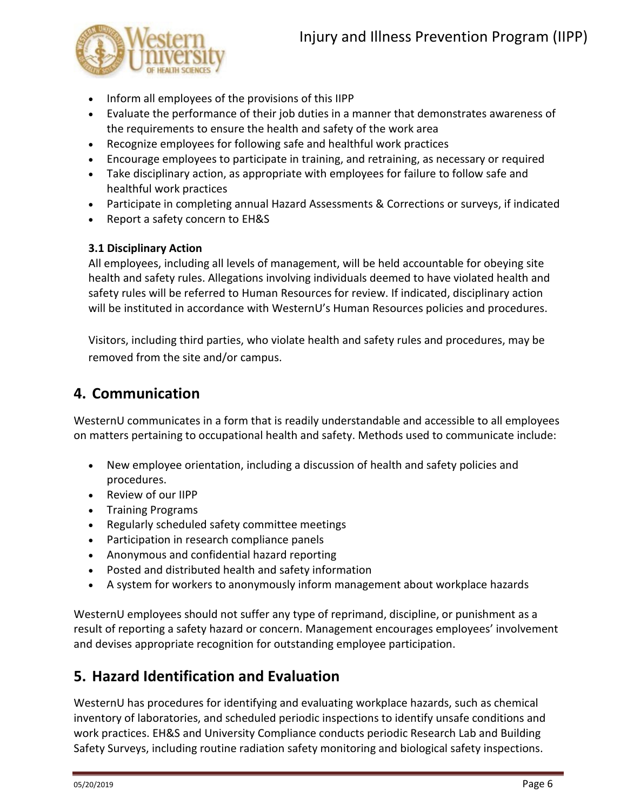

- Inform all employees of the provisions of this IIPP
- Evaluate the performance of their job duties in a manner that demonstrates awareness of the requirements to ensure the health and safety of the work area
- Recognize employees for following safe and healthful work practices
- Encourage employees to participate in training, and retraining, as necessary or required
- Take disciplinary action, as appropriate with employees for failure to follow safe and healthful work practices
- Participate in completing annual Hazard Assessments & Corrections or surveys, if indicated
- Report a safety concern to EH&S

### **3.1 Disciplinary Action**

All employees, including all levels of management, will be held accountable for obeying site health and safety rules. Allegations involving individuals deemed to have violated health and safety rules will be referred to Human Resources for review. If indicated, disciplinary action will be instituted in accordance with WesternU's Human Resources policies and procedures.

Visitors, including third parties, who violate health and safety rules and procedures, may be removed from the site and/or campus.

### **4. Communication**

WesternU communicates in a form that is readily understandable and accessible to all employees on matters pertaining to occupational health and safety. Methods used to communicate include:

- New employee orientation, including a discussion of health and safety policies and procedures.
- Review of our IIPP
- Training Programs
- Regularly scheduled safety committee meetings
- Participation in research compliance panels
- Anonymous and confidential hazard reporting
- Posted and distributed health and safety information
- A system for workers to anonymously inform management about workplace hazards

WesternU employees should not suffer any type of reprimand, discipline, or punishment as a result of reporting a safety hazard or concern. Management encourages employees' involvement and devises appropriate recognition for outstanding employee participation.

# **5. Hazard Identification and Evaluation**

WesternU has procedures for identifying and evaluating workplace hazards, such as chemical inventory of laboratories, and scheduled periodic inspections to identify unsafe conditions and work practices. EH&S and University Compliance conducts periodic Research Lab and Building Safety Surveys, including routine radiation safety monitoring and biological safety inspections.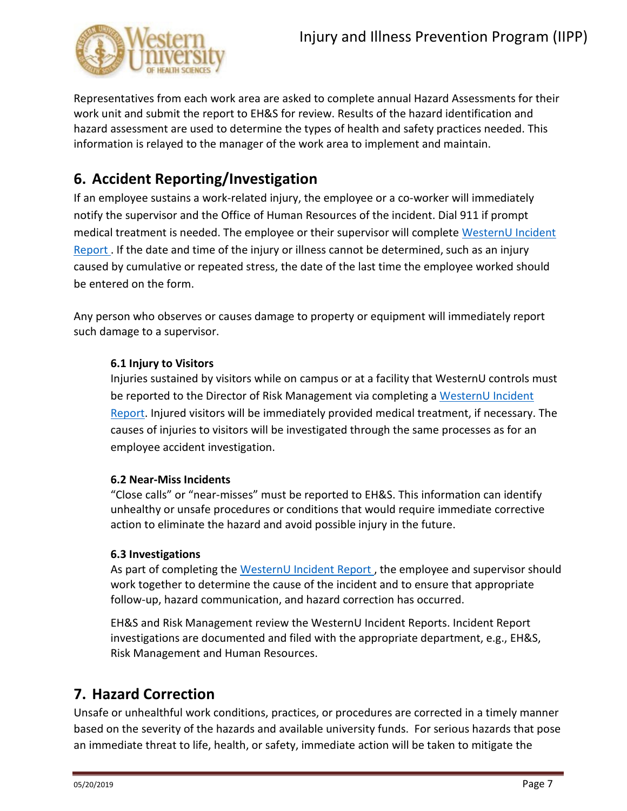

Representatives from each work area are asked to complete annual Hazard Assessments for their work unit and submit the report to EH&S for review. Results of the hazard identification and hazard assessment are used to determine the types of health and safety practices needed. This information is relayed to the manager of the work area to implement and maintain.

# **6. Accident Reporting/Investigation**

If an employee sustains a work-related injury, the employee or a co-worker will immediately notify the supervisor and the Office of Human Resources of the incident. Dial 911 if prompt medical treatment is needed. The employee or their supervisor will complete [WesternU Incident](https://webapp.westernu.edu/incident_report/)  [Report](https://webapp.westernu.edu/incident_report/) . If the date and time of the injury or illness cannot be determined, such as an injury caused by cumulative or repeated stress, the date of the last time the employee worked should be entered on the form.

Any person who observes or causes damage to property or equipment will immediately report such damage to a supervisor.

### **6.1 Injury to Visitors**

Injuries sustained by visitors while on campus or at a facility that WesternU controls must be reported to the Director of Risk Management via completing a WesternU Incident [Report.](https://webapp.westernu.edu/incident_report/) Injured visitors will be immediately provided medical treatment, if necessary. The causes of injuries to visitors will be investigated through the same processes as for an employee accident investigation.

#### **6.2 Near-Miss Incidents**

"Close calls" or "near-misses" must be reported to EH&S. This information can identify unhealthy or unsafe procedures or conditions that would require immediate corrective action to eliminate the hazard and avoid possible injury in the future.

#### **6.3 Investigations**

As part of completing the [WesternU Incident Report](https://webapp.westernu.edu/incident_report/) , the employee and supervisor should work together to determine the cause of the incident and to ensure that appropriate follow-up, hazard communication, and hazard correction has occurred.

EH&S and Risk Management review the WesternU Incident Reports. Incident Report investigations are documented and filed with the appropriate department, e.g., EH&S, Risk Management and Human Resources.

### **7. Hazard Correction**

Unsafe or unhealthful work conditions, practices, or procedures are corrected in a timely manner based on the severity of the hazards and available university funds. For serious hazards that pose an immediate threat to life, health, or safety, immediate action will be taken to mitigate the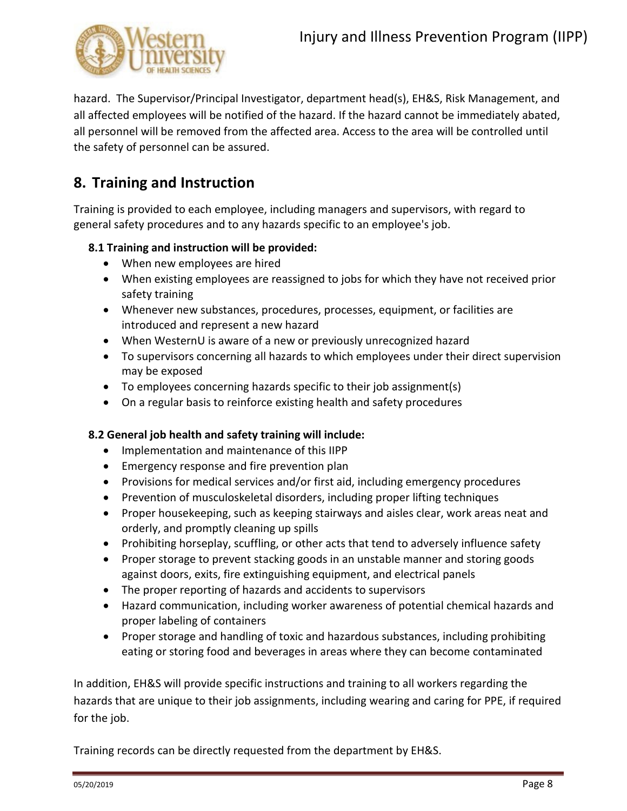

hazard. The Supervisor/Principal Investigator, department head(s), EH&S, Risk Management, and all affected employees will be notified of the hazard. If the hazard cannot be immediately abated, all personnel will be removed from the affected area. Access to the area will be controlled until the safety of personnel can be assured.

## **8. Training and Instruction**

Training is provided to each employee, including managers and supervisors, with regard to general safety procedures and to any hazards specific to an employee's job.

### **8.1 Training and instruction will be provided:**

- When new employees are hired
- When existing employees are reassigned to jobs for which they have not received prior safety training
- Whenever new substances, procedures, processes, equipment, or facilities are introduced and represent a new hazard
- When WesternU is aware of a new or previously unrecognized hazard
- To supervisors concerning all hazards to which employees under their direct supervision may be exposed
- To employees concerning hazards specific to their job assignment(s)
- On a regular basis to reinforce existing health and safety procedures

#### **8.2 General job health and safety training will include:**

- Implementation and maintenance of this IIPP
- Emergency response and fire prevention plan
- Provisions for medical services and/or first aid, including emergency procedures
- Prevention of musculoskeletal disorders, including proper lifting techniques
- Proper housekeeping, such as keeping stairways and aisles clear, work areas neat and orderly, and promptly cleaning up spills
- Prohibiting horseplay, scuffling, or other acts that tend to adversely influence safety
- Proper storage to prevent stacking goods in an unstable manner and storing goods against doors, exits, fire extinguishing equipment, and electrical panels
- The proper reporting of hazards and accidents to supervisors
- Hazard communication, including worker awareness of potential chemical hazards and proper labeling of containers
- Proper storage and handling of toxic and hazardous substances, including prohibiting eating or storing food and beverages in areas where they can become contaminated

In addition, EH&S will provide specific instructions and training to all workers regarding the hazards that are unique to their job assignments, including wearing and caring for PPE, if required for the job.

Training records can be directly requested from the department by EH&S.